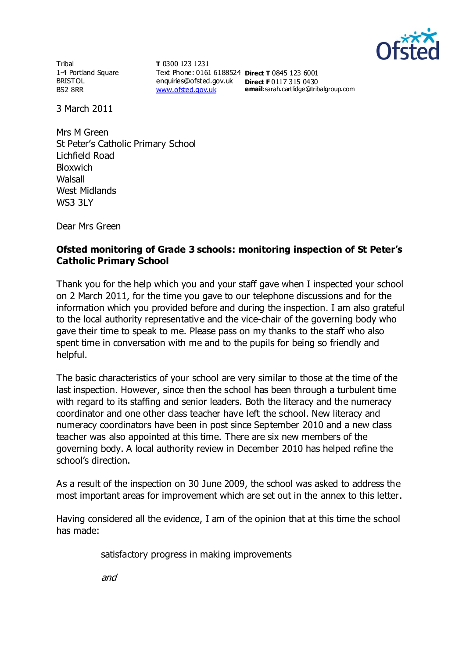

**Tribal** 1-4 Portland Square BRISTOL BS2 8RR

**T** 0300 123 1231 Text Phone: 0161 6188524 **Direct T** 0845 123 6001 enquiries@ofsted.gov.uk **Direct F** 0117 315 0430 [www.ofsted.gov.uk](http://www.ofsted.gov.uk/)

**email**:sarah.cartlidge@tribalgroup.com

3 March 2011

Mrs M Green St Peter's Catholic Primary School Lichfield Road Bloxwich Walsall West Midlands WS3 3LY

Dear Mrs Green

## **Ofsted monitoring of Grade 3 schools: monitoring inspection of St Peter's Catholic Primary School**

Thank you for the help which you and your staff gave when I inspected your school on 2 March 2011, for the time you gave to our telephone discussions and for the information which you provided before and during the inspection. I am also grateful to the local authority representative and the vice-chair of the governing body who gave their time to speak to me. Please pass on my thanks to the staff who also spent time in conversation with me and to the pupils for being so friendly and helpful.

The basic characteristics of your school are very similar to those at the time of the last inspection. However, since then the school has been through a turbulent time with regard to its staffing and senior leaders. Both the literacy and the numeracy coordinator and one other class teacher have left the school. New literacy and numeracy coordinators have been in post since September 2010 and a new class teacher was also appointed at this time. There are six new members of the governing body. A local authority review in December 2010 has helped refine the school's direction.

As a result of the inspection on 30 June 2009, the school was asked to address the most important areas for improvement which are set out in the annex to this letter.

Having considered all the evidence, I am of the opinion that at this time the school has made:

satisfactory progress in making improvements

and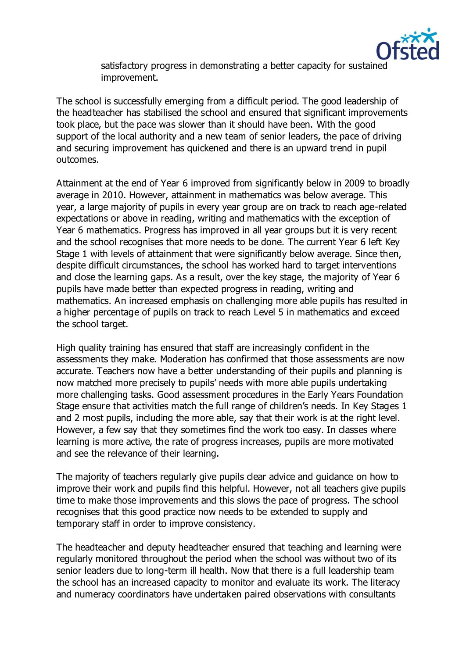

satisfactory progress in demonstrating a better capacity for sustained improvement.

The school is successfully emerging from a difficult period. The good leadership of the headteacher has stabilised the school and ensured that significant improvements took place, but the pace was slower than it should have been. With the good support of the local authority and a new team of senior leaders, the pace of driving and securing improvement has quickened and there is an upward trend in pupil outcomes.

Attainment at the end of Year 6 improved from significantly below in 2009 to broadly average in 2010. However, attainment in mathematics was below average. This year, a large majority of pupils in every year group are on track to reach age-related expectations or above in reading, writing and mathematics with the exception of Year 6 mathematics. Progress has improved in all year groups but it is very recent and the school recognises that more needs to be done. The current Year 6 left Key Stage 1 with levels of attainment that were significantly below average. Since then, despite difficult circumstances, the school has worked hard to target interventions and close the learning gaps. As a result, over the key stage, the majority of Year 6 pupils have made better than expected progress in reading, writing and mathematics. An increased emphasis on challenging more able pupils has resulted in a higher percentage of pupils on track to reach Level 5 in mathematics and exceed the school target.

High quality training has ensured that staff are increasingly confident in the assessments they make. Moderation has confirmed that those assessments are now accurate. Teachers now have a better understanding of their pupils and planning is now matched more precisely to pupils' needs with more able pupils undertaking more challenging tasks. Good assessment procedures in the Early Years Foundation Stage ensure that activities match the full range of children's needs. In Key Stages 1 and 2 most pupils, including the more able, say that their work is at the right level. However, a few say that they sometimes find the work too easy. In classes where learning is more active, the rate of progress increases, pupils are more motivated and see the relevance of their learning.

The majority of teachers regularly give pupils clear advice and guidance on how to improve their work and pupils find this helpful. However, not all teachers give pupils time to make those improvements and this slows the pace of progress. The school recognises that this good practice now needs to be extended to supply and temporary staff in order to improve consistency.

The headteacher and deputy headteacher ensured that teaching and learning were regularly monitored throughout the period when the school was without two of its senior leaders due to long-term ill health. Now that there is a full leadership team the school has an increased capacity to monitor and evaluate its work. The literacy and numeracy coordinators have undertaken paired observations with consultants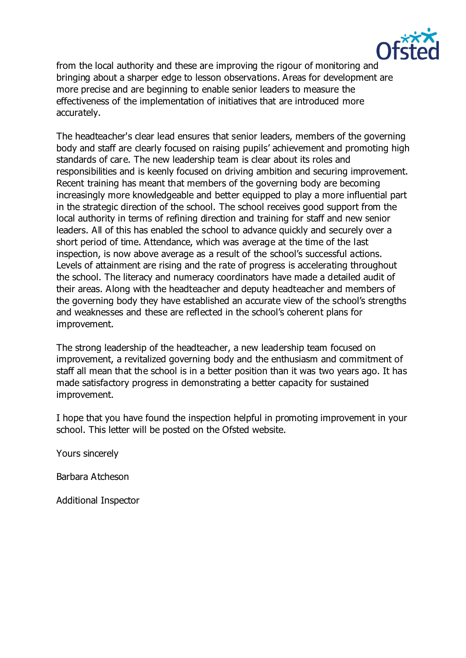

from the local authority and these are improving the rigour of monitoring and bringing about a sharper edge to lesson observations. Areas for development are more precise and are beginning to enable senior leaders to measure the effectiveness of the implementation of initiatives that are introduced more accurately.

The headteacher's clear lead ensures that senior leaders, members of the governing body and staff are clearly focused on raising pupils' achievement and promoting high standards of care. The new leadership team is clear about its roles and responsibilities and is keenly focused on driving ambition and securing improvement. Recent training has meant that members of the governing body are becoming increasingly more knowledgeable and better equipped to play a more influential part in the strategic direction of the school. The school receives good support from the local authority in terms of refining direction and training for staff and new senior leaders. All of this has enabled the school to advance quickly and securely over a short period of time. Attendance, which was average at the time of the last inspection, is now above average as a result of the school's successful actions. Levels of attainment are rising and the rate of progress is accelerating throughout the school. The literacy and numeracy coordinators have made a detailed audit of their areas. Along with the headteacher and deputy headteacher and members of the governing body they have established an accurate view of the school's strengths and weaknesses and these are reflected in the school's coherent plans for improvement.

The strong leadership of the headteacher, a new leadership team focused on improvement, a revitalized governing body and the enthusiasm and commitment of staff all mean that the school is in a better position than it was two years ago. It has made satisfactory progress in demonstrating a better capacity for sustained improvement.

I hope that you have found the inspection helpful in promoting improvement in your school. This letter will be posted on the Ofsted website.

Yours sincerely

Barbara Atcheson

Additional Inspector